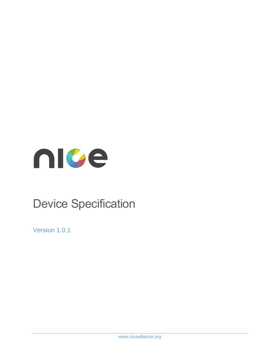

# Device Specification

Version 1.0.1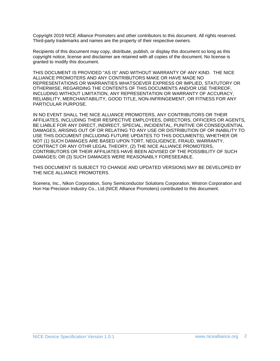Copyright 2019 NICE Alliance Promoters and other contributors to this document. All rights reserved. Third-party trademarks and names are the property of their respective owners.

Recipients of this document may copy, distribute, publish, or display this document so long as this copyright notice, license and disclaimer are retained with all copies of the document. No license is granted to modify this document.

THIS DOCUMENT IS PROVIDED "AS IS" AND WITHOUT WARRANTY OF ANY KIND. THE NICE ALLIANCE PROMOTERS AND ANY CONTRIBUTORS MAKE OR HAVE MADE NO REPRESENTATIONS OR WARRANTIES WHATSOEVER EXPRESS OR IMPLIED, STATUTORY OR OTHERWISE, REGARDING THE CONTENTS OF THIS DOCUMENTS AND/OR USE THEREOF, INCLUDING WITHOUT LIMITATION, ANY REPRESENTATION OR WARRANTY OF ACCURACY, RELIABILITY, MERCHANTABILITY, GOOD TITLE, NON-INFRINGEMENT, OR FITNESS FOR ANY PARTICULAR PURPOSE.

IN NO EVENT SHALL THE NICE ALLIANCE PROMOTERS, ANY CONTRIBUTORS OR THEIR AFFILIATES, INCLUDING THEIR RESPECTIVE EMPLOYEES, DIRECTORS, OFFICERS OR AGENTS, BE LIABLE FOR ANY DIRECT, INDIRECT, SPECIAL, INCIDENTAL, PUNITIVE OR CONSEQUENTIAL DAMAGES, ARISING OUT OF OR RELATING TO ANY USE OR DISTRIBUTION OF OR INABILITY TO USE THIS DOCUMENT (INCLUDING FUTURE UPDATES TO THIS DOCUMENTS), WHETHER OR NOT (1) SUCH DAMAGES ARE BASED UPON TORT, NEGLIGENCE, FRAUD, WARRANTY, CONTRACT OR ANY OTHR LEGAL THEORY, (2) THE NICE ALLIANCE PROMOTERS, CONTRIBUTORS OR THEIR AFFILIATES HAVE BEEN ADVISED OF THE POSSIBILITY OF SUCH DAMAGES; OR (3) SUCH DAMAGES WERE REASONABLY FORESEEABLE.

THIS DOCUMENT IS SUBJECT TO CHANGE AND UPDATED VERSIONS MAY BE DEVELOPED BY THE NICE ALLIANCE PROMOTERS.

Scenera, Inc., Nikon Corporation, Sony Semiconductor Solutions Corporation, Wistron Corporation and Hon Hai Precision Industry Co., Ltd.(NICE Alliance Promoters) contributed to this document.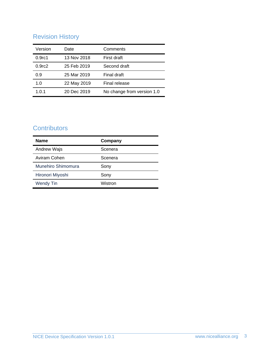# Revision History

| Version            | Date        | Comments                   |
|--------------------|-------------|----------------------------|
| 0.9 <sub>rc1</sub> | 13 Nov 2018 | First draft                |
| 0.9 <sub>rc2</sub> | 25 Feb 2019 | Second draft               |
| 0.9                | 25 Mar 2019 | Final draft                |
| 1.0                | 22 May 2019 | Final release              |
| 1.0.1              | 20 Dec 2019 | No change from version 1.0 |

# **Contributors**

| <b>Name</b>        | Company |
|--------------------|---------|
| Andrew Wajs        | Scenera |
| Aviram Cohen       | Scenera |
| Munehiro Shimomura | Sony    |
| Hironori Miyoshi   | Sony    |
| <b>Wendy Tin</b>   | Wistron |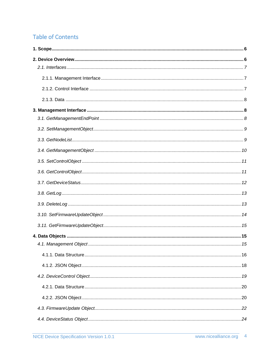# **Table of Contents**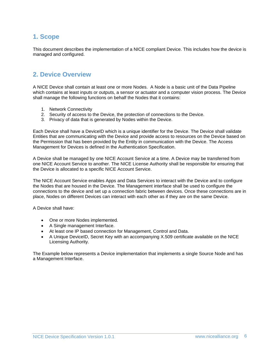### <span id="page-5-0"></span>**1. Scope**

This document describes the implementation of a NICE compliant Device. This includes how the device is managed and configured.

### <span id="page-5-1"></span>**2. Device Overview**

A NICE Device shall contain at least one or more Nodes. A Node is a basic unit of the Data Pipeline which contains at least inputs or outputs, a sensor or actuator and a computer vision process. The Device shall manage the following functions on behalf the Nodes that it contains:

- 1. Network Connectivity
- 2. Security of access to the Device, the protection of connections to the Device.
- 3. Privacy of data that is generated by Nodes within the Device.

Each Device shall have a DeviceID which is a unique identifier for the Device. The Device shall validate Entities that are communicating with the Device and provide access to resources on the Device based on the Permission that has been provided by the Entity in communication with the Device. The Access Management for Devices is defined in the Authentication Specification.

A Device shall be managed by one NICE Account Service at a time. A Device may be transferred from one NICE Account Service to another. The NICE License Authority shall be responsible for ensuring that the Device is allocated to a specific NICE Account Service.

The NICE Account Service enables Apps and Data Services to interact with the Device and to configure the Nodes that are housed in the Device. The Management interface shall be used to configure the connections to the device and set up a connection fabric between devices. Once these connections are in place, Nodes on different Devices can interact with each other as if they are on the same Device.

A Device shall have:

- One or more Nodes implemented.
- A Single management Interface.
- At least one IP based connection for Management, Control and Data.
- A Unique DeviceID, Secret Key with an accompanying X.509 certificate available on the NICE Licensing Authority.

The Example below represents a Device implementation that implements a single Source Node and has a Management Interface.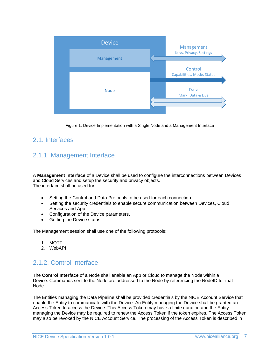

Figure 1: Device Implementation with a Single Node and a Management Interface

### <span id="page-6-1"></span><span id="page-6-0"></span>2.1. Interfaces

# 2.1.1. Management Interface

A **Management Interface** of a Device shall be used to configure the interconnections between Devices and Cloud Services and setup the security and privacy objects. The interface shall be used for:

- Setting the Control and Data Protocols to be used for each connection.
- Setting the security credentials to enable secure communication between Devices, Cloud Services and App.
- Configuration of the Device parameters.
- Getting the Device status.

The Management session shall use one of the following protocols:

- 1. MQTT
- 2. WebAPI

### <span id="page-6-2"></span>2.1.2. Control Interface

The **Control Interface** of a Node shall enable an App or Cloud to manage the Node within a Device. Commands sent to the Node are addressed to the Node by referencing the NodeID for that Node.

The Entities managing the Data Pipeline shall be provided credentials by the NICE Account Service that enable the Entity to communicate with the Device. An Entity managing the Device shall be granted an Access Token to access the Device. This Access Token may have a finite duration and the Entity managing the Device may be required to renew the Access Token if the token expires. The Access Token may also be revoked by the NICE Account Service. The processing of the Access Token is described in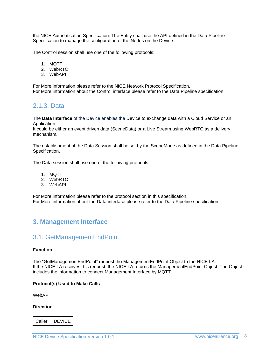the NICE Authentication Specification. The Entity shall use the API defined in the Data Pipeline Specification to manage the configuration of the Nodes on the Device.

The Control session shall use one of the following protocols:

- 1. MQTT
- 2. WebRTC
- 3. WebAPI

For More information please refer to the NICE Network Protocol Specification. For More information about the Control interface please refer to the Data Pipeline specification.

### <span id="page-7-0"></span>2.1.3. Data

The **Data Interface** of the Device enables the Device to exchange data with a Cloud Service or an Application.

It could be either an event driven data (SceneData) or a Live Stream using WebRTC as a delivery mechanism.

The establishment of the Data Session shall be set by the SceneMode as defined in the Data Pipeline Specification.

The Data session shall use one of the following protocols:

- 1. MQTT
- 2. WebRTC
- 3. WebAPI

For More information please refer to the protocol section in this specification. For More information about the Data interface please refer to the Data Pipeline specification.

## <span id="page-7-2"></span><span id="page-7-1"></span>**3. Management Interface**

## 3.1. GetManagementEndPoint

#### **Function**

The "GetManagementEndPoint" request the ManagementEndPoint Object to the NICE LA. If the NICE LA receives this request, the NICE LA returns the ManagementEndPoint Object. The Object includes the information to connect Management Interface by MQTT.

#### **Protocol(s) Used to Make Calls**

WebAPI

#### **Direction**

Caller DEVICE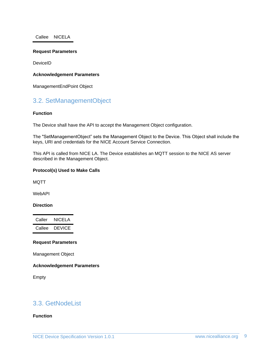Callee NICELA

#### **Request Parameters**

DeviceID

#### **Acknowledgement Parameters**

ManagementEndPoint Object

### <span id="page-8-0"></span>3.2. SetManagementObject

#### **Function**

The Device shall have the API to accept the Management Object configuration.

The "SetManagementObject" sets the Management Object to the Device. This Object shall include the keys, URI and credentials for the NICE Account Service Connection.

This API is called from NICE LA. The Device establishes an MQTT session to the NICE AS server described in the Management Object.

#### **Protocol(s) Used to Make Calls**

MQTT

WebAPI

**Direction**

Caller NICELA Callee DEVICE

#### **Request Parameters**

Management Object

#### **Acknowledgement Parameters**

Empty

### <span id="page-8-1"></span>3.3. GetNodeList

#### **Function**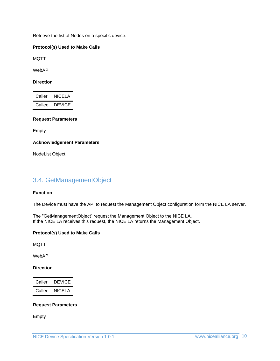Retrieve the list of Nodes on a specific device.

#### **Protocol(s) Used to Make Calls**

MQTT

WebAPI

**Direction**

Caller NICELA Callee DEVICE

#### **Request Parameters**

Empty

**Acknowledgement Parameters**

NodeList Object

### <span id="page-9-0"></span>3.4. GetManagementObject

#### **Function**

The Device must have the API to request the Management Object configuration form the NICE LA server.

The "GetManagementObject" request the Management Object to the NICE LA. If the NICE LA receives this request, the NICE LA returns the Management Object.

#### **Protocol(s) Used to Make Calls**

MQTT

WebAPI

#### **Direction**

Caller DEVICE Callee NICELA

#### **Request Parameters**

Empty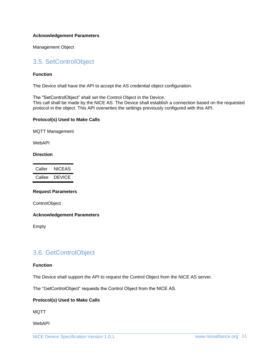#### **Acknowledgement Parameters**

Management Object

# <span id="page-10-0"></span>3.5. SetControlObject

#### **Function**

The Device shall have the API to accept the AS credential object configuration.

The "SetControlObject" shall set the Control Object in the Device. This call shall be made by the NICE AS. The Device shall establish a connection based on the requested protocol in the object. This API overwrites the settings previously configured with this API.

#### **Protocol(s) Used to Make Calls**

MQTT Management

WebAPI

#### **Direction**

| Caller | NICEAS        |
|--------|---------------|
| Callee | <b>DEVICE</b> |

#### **Request Parameters**

**ControlObject** 

#### **Acknowledgement Parameters**

Empty

### <span id="page-10-1"></span>3.6. GetControlObject

#### **Function**

The Device shall support the API to request the Control Object from the NICE AS server.

The "GetControlObject" requests the Control Object from the NICE AS.

#### **Protocol(s) Used to Make Calls**

MQTT

WebAPI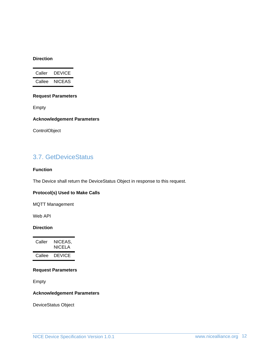#### **Direction**

| Caller | DEVICE |
|--------|--------|
| Callee | NICEAS |

#### **Request Parameters**

Empty

#### **Acknowledgement Parameters**

**ControlObject** 

# <span id="page-11-0"></span>3.7. GetDeviceStatus

#### **Function**

The Device shall return the DeviceStatus Object in response to this request.

#### **Protocol(s) Used to Make Calls**

MQTT Management

Web API

#### **Direction**

| Caller | NICEAS.<br>NICELA |
|--------|-------------------|
| Callee | DEVICE            |

#### **Request Parameters**

Empty

#### **Acknowledgement Parameters**

DeviceStatus Object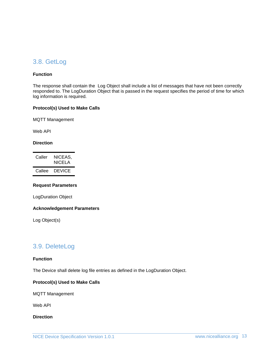### <span id="page-12-0"></span>3.8. GetLog

#### **Function**

The response shall contain the Log Object shall include a list of messages that have not been correctly responded to. The LogDuration Object that is passed in the request specifies the period of time for which log information is required.

#### **Protocol(s) Used to Make Calls**

MQTT Management

Web API

#### **Direction**

| Caller | NICEAS.<br>NICELA |
|--------|-------------------|
| Callee | DEVICE            |

#### **Request Parameters**

LogDuration Object

#### **Acknowledgement Parameters**

Log Object(s)

### <span id="page-12-1"></span>3.9. DeleteLog

#### **Function**

The Device shall delete log file entries as defined in the LogDuration Object.

#### **Protocol(s) Used to Make Calls**

MQTT Management

Web API

**Direction**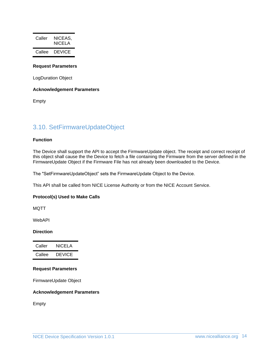| Caller | NICEAS.<br>NICELA |
|--------|-------------------|
| Callee | DEVICE            |

#### **Request Parameters**

LogDuration Object

#### **Acknowledgement Parameters**

Empty

### <span id="page-13-0"></span>3.10. SetFirmwareUpdateObject

#### **Function**

The Device shall support the API to accept the FirmwareUpdate object. The receipt and correct receipt of this object shall cause the the Device to fetch a file containing the Firmware from the server defined in the FirmwareUpdate Object if the Firmware File has not already been downloaded to the Device.

The "SetFirmwareUpdateObject" sets the FirmwareUpdate Object to the Device.

This API shall be called from NICE License Authority or from the NICE Account Service.

#### **Protocol(s) Used to Make Calls**

MQTT

WebAPI

#### **Direction**

| Caller | NICELA        |
|--------|---------------|
| Callee | <b>DEVICE</b> |

#### **Request Parameters**

FirmwareUpdate Object

#### **Acknowledgement Parameters**

Empty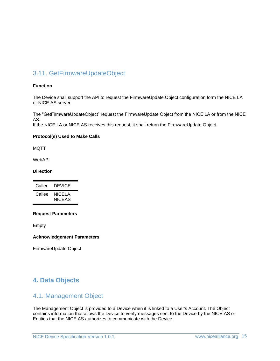# <span id="page-14-0"></span>3.11. GetFirmwareUpdateObject

#### **Function**

The Device shall support the API to request the FirmwareUpdate Object configuration form the NICE LA or NICE AS server.

The "GetFirmwareUpdateObject" request the FirmwareUpdate Object from the NICE LA or from the NICE AS.

If the NICE LA or NICE AS receives this request, it shall return the FirmwareUpdate Object.

#### **Protocol(s) Used to Make Calls**

MQTT

WebAPI

#### **Direction**

| Caller | <b>DEVICE</b>            |
|--------|--------------------------|
| Callee | NICELA,<br><b>NICEAS</b> |

#### **Request Parameters**

Empty

**Acknowledgement Parameters**

FirmwareUpdate Object

# <span id="page-14-2"></span><span id="page-14-1"></span>**4. Data Objects**

### 4.1. Management Object

The Management Object is provided to a Device when it is linked to a User's Account. The Object contains information that allows the Device to verify messages sent to the Device by the NICE AS or Entities that the NICE AS authorizes to communicate with the Device.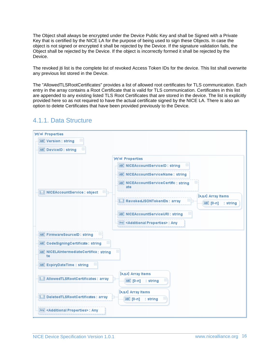The Object shall always be encrypted under the Device Public Key and shall be Signed with a Private Key that is certified by the NICE LA for the purpose of being used to sign these Objects. In case the object is not signed or encrypted it shall be rejected by the Device. If the signature validation fails, the Object shall be rejected by the Device. If the object is incorrectly formed it shall be rejected by the Device.

The revoked jti list is the complete list of revoked Access Token IDs for the device. This list shall overwrite any previous list stored in the Device.

The "AllowedTLSRootCertificates" provides a list of allowed root certificates for TLS communication. Each entry in the array contains a Root Certificate that is valid for TLS communication. Certificates in this list are appended to any existing listed TLS Root Certificates that are stored in the device. The list is explicitly provided here so as not required to have the actual certificate signed by the NICE LA. There is also an option to delete Certificates that have been provided previously to the Device.

| 'prty':val Properties                                        |                                                            |
|--------------------------------------------------------------|------------------------------------------------------------|
| $\left  + \right\rangle$<br><b>ABC</b> Version : string      |                                                            |
| $\left\vert +\right\rangle$<br><b>ABC</b> DeviceID: string   |                                                            |
|                                                              | 'prty':val Properties                                      |
|                                                              | Ð<br>ABC NICEAccountServiceID: string                      |
|                                                              | ABC NICEAccountServiceName: string                         |
|                                                              | $\boxplus$<br>ABC NICEAccountServiceCertific: string       |
| 田目<br>{} NICEAccountService : object                         | ate                                                        |
|                                                              | [x,y,z] Array Items<br>田昌<br>[] RevokedJSONTokenIDs: array |
|                                                              | ABC [O-n]<br>: string                                      |
|                                                              | $\pm$<br>ABC NICEAccountServiceURI : string                |
|                                                              | Any <additional properties="">: Any</additional>           |
|                                                              |                                                            |
| 田<br><b>ABC</b> FirmwareSourceID: string                     |                                                            |
| $\boxed{+}$<br>ABC CodeSigningCertificate: string            |                                                            |
| $\boxplus$<br>ABC NICELAIntermediateCertifica : string<br>te |                                                            |
| $\pm$<br><b>ABC</b> ExpiryDateTime: string                   |                                                            |
|                                                              |                                                            |
| [] AllowedTLSRootCertificates : array                        | [x,y,z] Array Items<br>$\Box$                              |
|                                                              | ABC [O-n]<br>: string                                      |
|                                                              | [x,y,z] Array Items                                        |
| [] DeletedTLSRootCertificates : array                        | $\boxplus$<br>ABC [O-n]<br>: string                        |
| Any <additional properties="">: Any</additional>             |                                                            |

## <span id="page-15-0"></span>4.1.1. Data Structure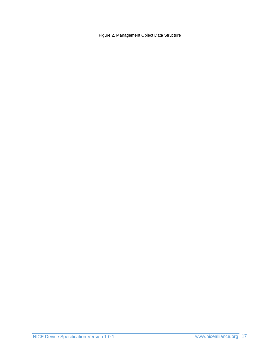Figure 2. Management Object Data Structure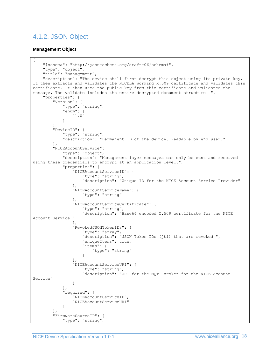# <span id="page-17-0"></span>4.1.2. JSON Object

#### **Management Object**

```
{
     "$schema": "http://json-schema.org/draft-06/schema#",
     "type": "object",
     "title": "Management",
     "description": "The device shall first decrypt this object using its private key. 
It then extracts and validates the NICELA working X.509 certificate and validates this 
certificate. It then uses the public key from this certificate and validates the 
message. The validate includes the entire decrypted document structure. ",
     "properties": {
         "Version": {
            "type": "string",
             "enum": [
                "1.0"
 ]
 },
 "DeviceID": {
            "type": "string",
             "description": "Permanent ID of the device. Readable by end user."
         },
         "NICEAccountService": {
             "type": "object",
             "description": "Management layer messages can only be sent and received 
using these credentials to encrypt at an application level.",
            "properties": {
                "NICEAccountServiceID": {
                    "type": "string",
                   "description": "Unique ID for the NICE Account Service Provider"
                },
                "NICEAccountServiceName": {
                    "type": "string"
                },
                 "NICEAccountServiceCertificate": {
                   "type": "string",
                   "description": "Base64 encoded X.509 certificate for the NICE 
Account Service "
 },
                "RevokedJSONTokenIDs": {
                    "type": "array",
                   "description": "JSON Token IDs (jti) that are revoked ",
                   "uniqueItems": true,
                   "items": {
                        "type": "string"
 }
 },
                "NICEAccountServiceURI": {
                    "type": "string",
                   "description": "URI for the MQTT broker for the NICE Account 
Service"
 }
 },
             "required": [
                "NICEAccountServiceID",
                "NICEAccountServiceURI"
 ]
         },
         "FirmwareSourceID": {
             "type": "string",
```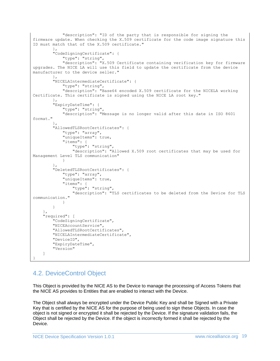```
 "description": "ID of the party that is responsible for signing the 
firmware update. When checking the X.509 certificate for the code image signature this 
ID must match that of the X.509 certificate."
         },
         "CodeSigningCertificate": {
             "type": "string",
             "description": "X.509 Certificate containing verification key for firmware 
upgrades. The NICE LA will use this field to update the certificate from the device 
manufacturer to the device seller."
 },
         "NICELAIntermediateCertificate": {
             "type": "string",
             "description": "Base64 encoded X.509 certificate for the NICELA working 
Certificate. This certificate is signed using the NICE LA root key."
         },
         "ExpiryDateTime": {
            "type": "string",
             "description": "Message is no longer valid after this date in ISO 8601 
format."
         },
         "AllowedTLSRootCertificates": {
             "type": "array",
             "uniqueItems": true,
             "items": {
                 "type": "string",
                 "description": "Allowed X.509 root certificates that may be used for 
Management Level TLS communication"
 }
         },
         "DeletedTLSRootCertificates": {
             "type": "array",
             "uniqueItems": true,
             "items": {
                 "type": "string",
                 "description": "TLS certificates to be deleted from the Device for TLS 
communication."
 }
         }
     },
     "required": [
         "CodeSigningCertificate",
         "NICEAccountService",
         "AllowedTLSRootCertificates",
         "NICELAIntermediateCertificate",
         "DeviceID",
         "ExpiryDateTime",
         "Version"
     ]
}
```
# <span id="page-18-0"></span>4.2. DeviceControl Object

This Object is provided by the NICE AS to the Device to manage the processing of Access Tokens that the NICE AS provides to Entities that are enabled to interact with the Device.

The Object shall always be encrypted under the Device Public Key and shall be Signed with a Private Key that is certified by the NICE AS for the purpose of being used to sign these Objects. In case the object is not signed or encrypted it shall be rejected by the Device. If the signature validation fails, the Object shall be rejected by the Device. If the object is incorrectly formed it shall be rejected by the Device.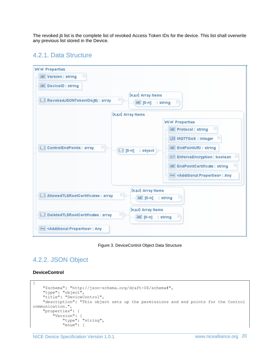The revoked jti list is the complete list of revoked Access Token IDs for the device. This list shall overwrite any previous list stored in the Device.

### <span id="page-19-0"></span>4.2.1. Data Structure



Figure 3. DeviceControl Object Data Structure

# <span id="page-19-1"></span>4.2.2. JSON Object

#### **DeviceControl**

```
{
     "$schema": "http://json-schema.org/draft-06/schema#",
     "type": "object",
     "title": "DeviceControl",
     "description": "This object sets up the permissions and end points for the Control 
communication.",
     "properties": {
         "Version": {
             "type": "string",
             "enum": [
```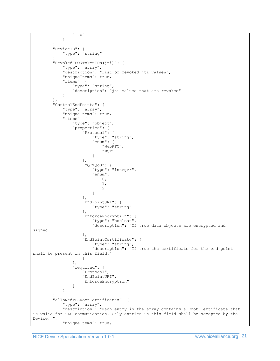```
 "1.0"
               ]
           },
           "DeviceID": {
               "type": "string"
           },
           "RevokedJSONTokenIDs(jti)": {
                "type": "array",
                "description": "List of revoked jti values",
                "uniqueItems": true,
                "items": {
                     "type": "string",
                    "description": "jti values that are revoked"
 }
           },
           "ControlEndPoints": {
                "type": "array",
                "uniqueItems": true,
                "items": {
                     "type": "object",
                     "properties": {
                          "Protocol": {
                               "type": "string",
                              "enum": [
                                    "WebRTC",
                                   "MQTT"
\sim 100 \sim 100 \sim 100 \sim 100 \sim 100 \sim 100 \sim 100 \sim 100 \sim 100 \sim 100 \sim 100 \sim 100 \sim 100 \sim 100 \sim 100 \sim 100 \sim 100 \sim 100 \sim 100 \sim 100 \sim 100 \sim 100 \sim 100 \sim 100 \sim 
 },
                         "MQTTQoS": {
                               "type": "integer",
                              "enum": [
\mathfrak{0},1,
                                   2
\sim 100 \sim 100 \sim 100 \sim 100 \sim 100 \sim 100 \sim 100 \sim 100 \sim 100 \sim 100 \sim 100 \sim 100 \sim 100 \sim 100 \sim 100 \sim 100 \sim 100 \sim 100 \sim 100 \sim 100 \sim 100 \sim 100 \sim 100 \sim 100 \sim 
 },
                         "EndPointURI": {
                               "type": "string"
 },
                         "EnforceEncryption": {
                               "type": "boolean",
                              "description": "If true data objects are encrypted and 
signed."
 },
                         "EndPointCertificate": {
                               "type": "string",
                              "description": "If true the certificate for the end point
shall be present in this field."
 }
                     },
                     "required": [
                          "Protocol",
                         "EndPointURI",
                         "EnforceEncryption"
 ]
                }
           },
           "AllowedTLSRootCertificates": {
                "type": "array",
                "description": "Each entry in the array contains a Root Certificate that 
is valid for TLS communication. Only entries in this field shall be accepted by the 
Device. ",
                "uniqueItems": true,
```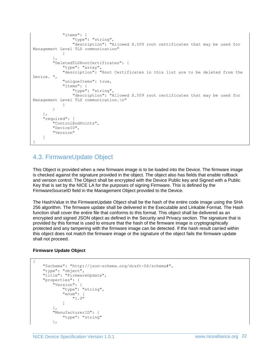```
 "items": {
                 "type": "string",
                 "description": "Allowed X.509 root certificates that may be used for 
Management Level TLS communication"
 }
         },
         "DeletedTLSRootCertificates": {
             "type": "array",
             "description": "Root Certificates in this list are to be deleted from the 
Device. ",
             "uniqueItems": true,
             "items": {
                 "type": "string",
                 "description": "Allowed X.509 root certificates that may be used for 
Management Level TLS communication. \n"
 }
 }
     },
     "required": [
         "ControlEndPoints",
         "DeviceID",
         "Version"
     ]
}
```
# <span id="page-21-0"></span>4.3. FirmwareUpdate Object

This Object is provided when a new firmware image is to be loaded into the Device. The firmware image is checked against the signature provided in the object. The object also has fields that enable rollback and version control. The Object shall be encrypted with the Device Public key and Signed with a Public Key that is set by the NICE LA for the purposes of signing Firmware. This is defined by the FirmwareSourceID field in the Management Object provided to the Device.

The HashValue in the FirmwareUpdate Object shall be the hash of the entire code image using the SHA 256 algorithm. The firmware update shall be delivered in the Executable and Linkable Format. The Hash function shall cover the entire file that conforms to this format. This object shall be delivered as an encrypted and signed JSON object as defined in the Security and Privacy section. The signature that is provided by this format is used to ensure that the hash of the firmware image is cryptographically protected and any tampering with the firmware image can be detected. If the hash result carried within this object does not match the firmware image or the signature of the object fails the firmware update shall not proceed.

#### **Firmware Update Object**

{

```
 "$schema": "http://json-schema.org/draft-06/schema#",
     "type": "object",
     "title": "FirmwareUpdate",
     "properties": {
         "Version": {
             "type": "string",
             "enum": [
                 "1.0"
 ]
         },
         "ManufacturerID": {
             "type": "string"
         },
```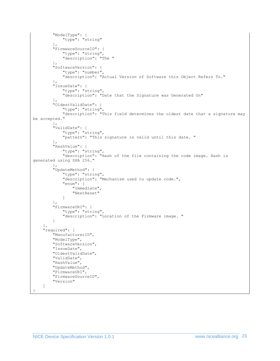```
 "ModelType": {
             "type": "string"
         },
         "FirmwareSourceID": {
             "type": "string",
             "description": "The "
         },
         "SoftwareVersion": {
             "type": "number",
             "description": "Actual Version of Software this Object Refers To."
         },
         "IssueDate": {
             "type": "string",
             "description": "Date that the Signature was Generated On"
         },
         "OldestValidDate": {
             "type": "string",
             "description": "This field determines the oldest date that a signature may 
be accepted."
         },
 "ValidDate": {
 "type": "string",
             "pattern": "This signature is valid until this date. "
         },
         "HashValue": {
             "type": "string",
             "description": "Hash of the file containing the code image. Hash is 
generated using SHA 256."
 },
 "UpdateMethod": {
             "type": "string",
            "description": "Mechanism used to update code.",
             "enum": [
                 "Immediate",
                 "NextReset"
 ]
         },
         "FirmwareURI": {
             "type": "string",
             "description": "Location of the Firmware image. "
         }
     },
     "required": [
         "ManufacturerID",
         "ModelType",
         "SoftwareVersion",
         "IssueDate",
         "OldestValidDate",
         "ValidDate",
         "HashValue",
         "UpdateMethod",
         "FirmwareURI",
         "FirmwareSourceID",
         "Version"
     ]
}
```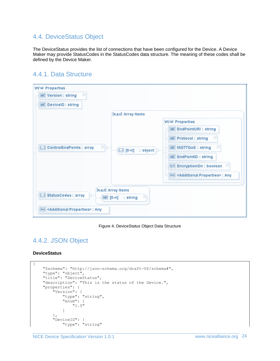# <span id="page-23-0"></span>4.4. DeviceStatus Object

The DeviceStatus provides the list of connections that have been configured for the Device. A Device Maker may provide StatusCodes in the StatusCodes data structure. The meaning of these codes shall be defined by the Device Maker.

### <span id="page-23-1"></span>4.4.1. Data Structure

| 'prty':val Properties                                        |                                  |                                                                        |
|--------------------------------------------------------------|----------------------------------|------------------------------------------------------------------------|
| $\left  + \right $<br><b>ABC</b> Version : string            |                                  |                                                                        |
| <b>ABC</b> DeviceID: string                                  |                                  |                                                                        |
|                                                              | [x,y,z] Array Items              |                                                                        |
|                                                              |                                  | 'prty':val Properties                                                  |
|                                                              |                                  | ABC EndPointURI : string                                               |
|                                                              |                                  | $\boxplus$<br><b>ABC Protocol: string</b>                              |
| 田<br>[] ControlEndPoints : array                             | {} [0-n]<br>$:$ object $\succeq$ | ABC MQTTQoS: string<br>$\left  + \right $                              |
|                                                              |                                  | <b>ABC</b> EndPointID : string                                         |
|                                                              |                                  | $\begin{array}{c} \boxed{+} \end{array}$<br>0/1 EncryptionOn : boolean |
|                                                              |                                  | Any <additional properties="">: Any</additional>                       |
| [x,y,z] Array Items                                          |                                  |                                                                        |
| [] StatusCodes: array<br>$\boxplus$<br>ABC [O-n]<br>: string |                                  |                                                                        |
| Any <additional properties="">: Any</additional>             |                                  |                                                                        |

Figure 4. DeviceStatus Object Data Structure

# <span id="page-23-2"></span>4.4.2. JSON Object

#### **DeviceStatus**

```
{
    "$schema": "http://json-schema.org/draft-06/schema#",
    "type": "object",
    "title": "DeviceStatus",
    "description": "This is the status of the Device.",
    "properties": {
         "Version": {
             "type": "string",
             "enum": [
                 "1.0"
 ]
         },
         "DeviceID": {
             "type": "string"
```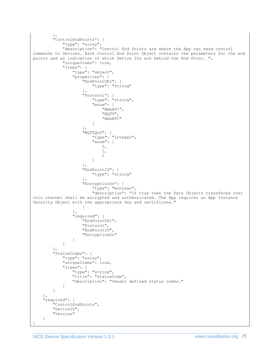```
 },
           "ControlEndPoints": {
                "type": "array",
                "description": "Control End Points are where the App can send control 
commands to Devices. Each Control End Point Object contains the parameters for the end 
points and an indication of which Device IDs are behind the End Point. ",
                "uniqueItems": true,
                "items": {
                    "type": "object",
                     "properties": {
                          "EndPointURI": {
                              "type": "string"
 },
                         "Protocol": {
                               "type": "string",
                              "enum": [
                                   "WebAPI",
                                   "MQTT",
                                  "WebRTC"
\sim 100 \sim 100 \sim 100 \sim 100 \sim 100 \sim 100 \sim 100 \sim 100 \sim 100 \sim 100 \sim 100 \sim 100 \sim 100 \sim 100 \sim 100 \sim 100 \sim 100 \sim 100 \sim 100 \sim 100 \sim 100 \sim 100 \sim 100 \sim 100 \sim 
 },
                         "MQTTQoS": {
 "type": "integer",
                              "enum": [
\mathfrak{0},1,
                                  2
\sim 100 \sim 100 \sim 100 \sim 100 \sim 100 \sim 100 \sim 100 \sim 100 \sim 100 \sim 100 \sim 100 \sim 100 \sim 100 \sim 100 \sim 100 \sim 100 \sim 100 \sim 100 \sim 100 \sim 100 \sim 100 \sim 100 \sim 100 \sim 100 \sim 
 },
                         "EndPointID": {
                              "type": "string"
 },
                          "EncryptionOn": {
                              "type": "boolean",
                              "description": "If true then the Data Objects transfered over 
this channel shall be encrypted and authenticated. The App requires an App Instance 
Security Object with the appropriate key and certificate."
 }
                     },
                     "required": [
                          "EndPointURI",
                        "Protocol",
                        "EndPointID",
                          "EncryptionOn"
 ]
               }
          },
           "StatusCodes": {
                "type": "array",
                "uniqueItems": true,
                "items": {
                    "type": "string",
                     "title": "StatusCode",
                     "description": "Vendor defined status codes."
 }
          }
      },
      "required": [
          "ControlEndPoints",
          "DeviceID",
          "Version"
      ]
}
```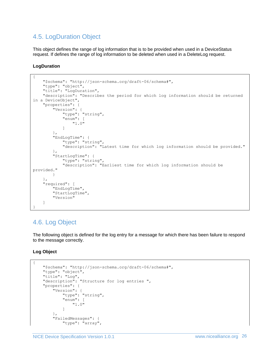# <span id="page-25-0"></span>4.5. LogDuration Object

This object defines the range of log information that is to be provided when used in a DeviceStatus request. If defines the range of log information to be deleted when used in a DeleteLog request.

**LogDuration**

```
{
     "$schema": "http://json-schema.org/draft-06/schema#",
     "type": "object",
     "title": "LogDuration",
     "description": "Describes the period for which log information should be returned 
in a DeviceObject",
     "properties": {
 "Version": {
  "type": "string",
             "enum": [
                 "1.0"
 ]
         },
         "EndLogTime": {
             "type": "string",
             "description": "Latest time for which log information should be provided."
         },
         "StartLogTime": {
            "type": "string",
             "description": "Earliest time for which log information should be 
provided."
         }
     },
     "required": [
         "EndLogTime",
         "StartLogTime",
         "Version"
     ]
}
```
# <span id="page-25-1"></span>4.6. Log Object

The following object is defined for the log entry for a message for which there has been failure to respond to the message correctly.

**Log Object**

{

```
 "$schema": "http://json-schema.org/draft-06/schema#",
    "type": "object",
 "title": "Log",
 "description": "Structure for log entries ",
    "properties": {
         "Version": {
            "type": "string",
            "enum": [
                "1.0"
 ]
        },
        "FailedMessages": {
            "type": "array",
```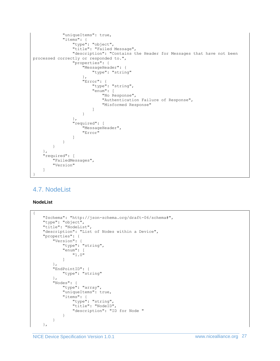```
 "uniqueItems": true,
                 "items": {
                      "type": "object",
                      "title": "Failed Message",
                      "description": "Contains the Header for Messages that have not been 
processed correctly or responded to.",
                      "properties": {
                            "MessageHeader": {
                                "type": "string"
 },
                           "Error": {
                                "type": "string",
                                "enum": [
                                      "No Response",
                                     "Authentication Failure of Response",
                                      "Misformed Response"
\sim 100 \sim 100 \sim 100 \sim 100 \sim 100 \sim 100 \sim 100 \sim 100 \sim 100 \sim 100 \sim 100 \sim 100 \sim 100 \sim 100 \sim 100 \sim 100 \sim 100 \sim 100 \sim 100 \sim 100 \sim 100 \sim 100 \sim 100 \sim 100 \sim 
 }
                      },
                      "required": [
                           "MessageHeader",
                          "Error"
 ]
 }
           }
      },
      "required": [
           "FailedMessages",
           "Version"
      ]
}
```
# <span id="page-26-0"></span>4.7. NodeList

#### **NodeList**

```
{
     "$schema": "http://json-schema.org/draft-06/schema#",
     "type": "object",
    "title": "NodeList",
     "description": "List of Nodes within a Device",
     "properties": {
         "Version": {
             "type": "string",
             "enum": [
                 "1.0"
             ]
         },
         "EndPointID": {
             "type": "string"
         },
         "Nodes": {
             "type": "array",
             "uniqueItems": true,
             "items": {
                 "type": "string",
                 "title": "NodeID",
                 "description": "ID for Node "
 }
         }
     },
```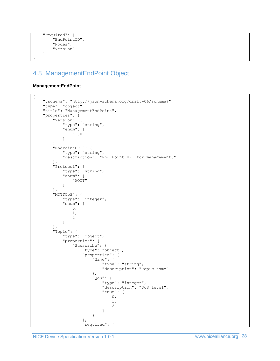```
 "required": [
     "EndPointID",
     "Nodes",
     "Version"
 ]
```
# 4.8. ManagementEndPoint Object

#### **ManagementEndPoint**

<span id="page-27-0"></span>}

```
{
    "$schema": "http://json-schema.org/draft-06/schema#",
 "type": "object",
 "title": "ManagementEndPoint",
    "properties": {
       "Version": {
          "type": "string",
           "enum": [
              "1.0"
 ]
       },
       "EndPointURI": {
           "type": "string",
           "description": "End Point URI for management."
       },
       "Protocol": {
           "type": "string",
           "enum": [
              "MQTT"
 ]
       },
 "MQTTQoS": {
 "type": "integer",
           "enum": [
             0\, ,
             \frac{1}{2},
 2
 ]
       },
       "Topic": {
           "type": "object",
           "properties": {
              "Subscribe": {
                  "type": "object",
                  "properties": {
                     "Name": {
                        "type": "string",
                       "description": "Topic name"
 },
                    "QoS": {
                        "type": "integer",
                       "description": "QoS level",
                        "enum": [
\mathfrak{0},
                           1,
                           2
 ]
 }
 },
                 "required": [
```